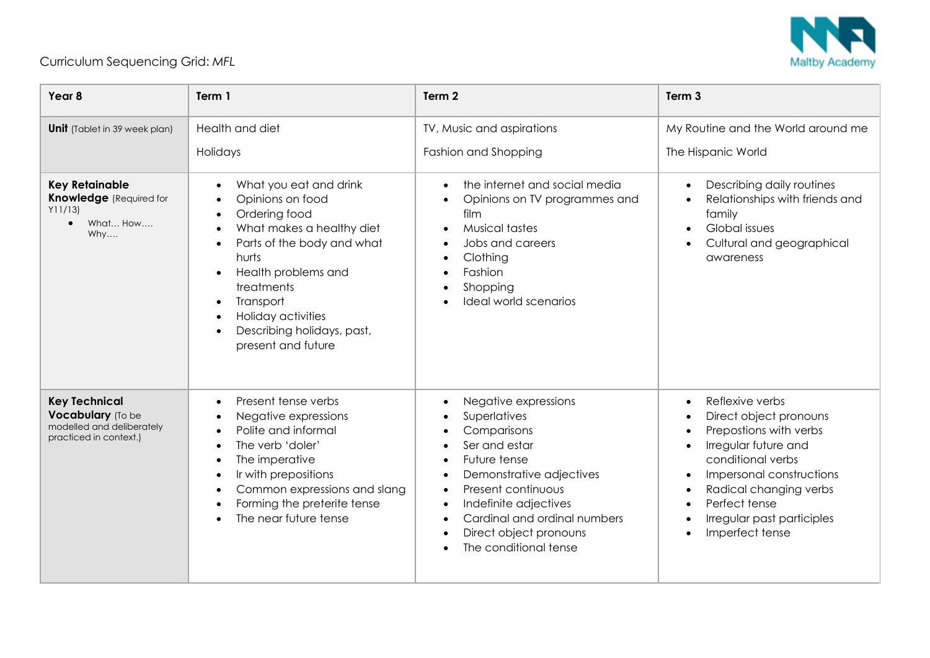

## Curriculum Sequencing Grid: *MFL*

| Year 8                                                                                             | Term 1                                                                                                                                                                                                                                                                                | Term 2                                                                                                                                                                                                                                                                       | Term <sub>3</sub>                                                                                                                                                                                                                        |
|----------------------------------------------------------------------------------------------------|---------------------------------------------------------------------------------------------------------------------------------------------------------------------------------------------------------------------------------------------------------------------------------------|------------------------------------------------------------------------------------------------------------------------------------------------------------------------------------------------------------------------------------------------------------------------------|------------------------------------------------------------------------------------------------------------------------------------------------------------------------------------------------------------------------------------------|
| <b>Unit</b> (Tablet in 39 week plan)                                                               | Health and diet<br>Holidays                                                                                                                                                                                                                                                           | TV, Music and aspirations<br>Fashion and Shopping                                                                                                                                                                                                                            | My Routine and the World around me<br>The Hispanic World                                                                                                                                                                                 |
| <b>Key Retainable</b><br><b>Knowledge</b> (Required for<br>Y11/131<br>What How<br>$\bullet$<br>Why | What you eat and drink<br>Opinions on food<br>Ordering food<br>What makes a healthy diet<br>Parts of the body and what<br>$\bullet$<br>hurts<br>Health problems and<br>treatments<br>Transport<br>$\bullet$<br>Holiday activities<br>Describing holidays, past,<br>present and future | the internet and social media<br>Opinions on TV programmes and<br>film<br><b>Musical tastes</b><br>Jobs and careers<br>Clothing<br>Fashion<br>Shopping<br>Ideal world scenarios                                                                                              | Describing daily routines<br>$\bullet$<br>Relationships with friends and<br>family<br>Global issues<br>Cultural and geographical<br>awareness                                                                                            |
| <b>Key Technical</b><br>Vocabulary (To be<br>modelled and deliberately<br>practiced in context.)   | Present tense verbs<br>Negative expressions<br>Polite and informal<br>The verb 'doler'<br>The imperative<br>Ir with prepositions<br>Common expressions and slang<br>Forming the preterite tense<br>The near future tense                                                              | Negative expressions<br>Superlatives<br>Comparisons<br>Ser and estar<br>Future tense<br>Demonstrative adjectives<br>$\bullet$<br>Present continuous<br>$\bullet$<br>Indefinite adjectives<br>Cardinal and ordinal numbers<br>Direct object pronouns<br>The conditional tense | Reflexive verbs<br>Direct object pronouns<br>Prepostions with verbs<br>Irregular future and<br>conditional verbs<br>Impersonal constructions<br>Radical changing verbs<br>Perfect tense<br>Irregular past participles<br>Imperfect tense |